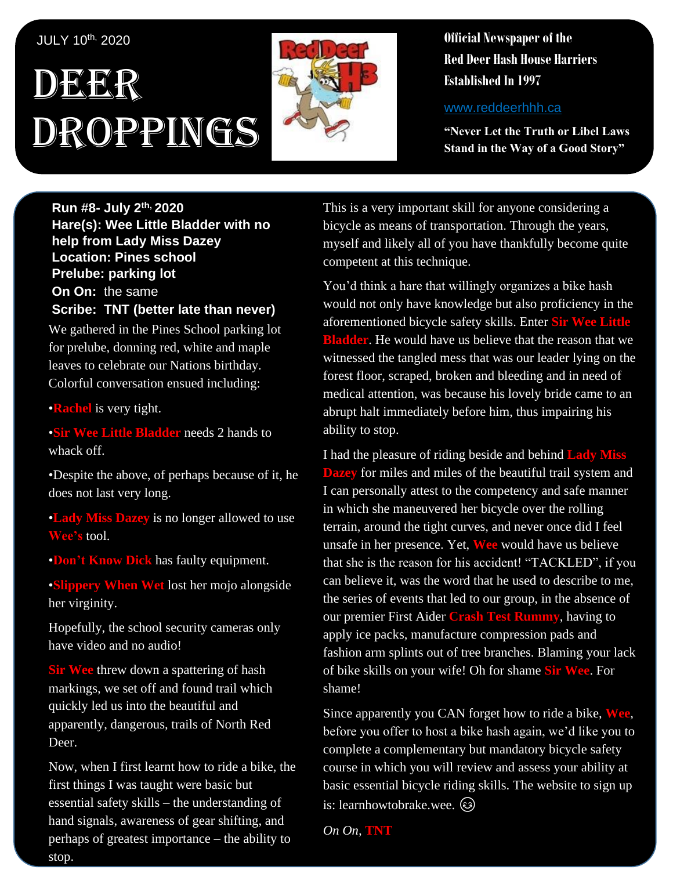#### JULY 10th, 2020

# DEER Droppings



**Official Newspaper of the Red Deer Hash House Harriers Established In 1997** 

www.reddeerhhh.ca

**"Never Let the Truth or Libel Laws Stand in the Way of a Good Story"**

**Run #8- July 2 th, 2020 Hare(s): Wee Little Bladder with no help from Lady Miss Dazey Location: Pines school Prelube: parking lot On On:** the same **Scribe: TNT (better late than never)**

We gathered in the Pines School parking lot for prelube, donning red, white and maple leaves to celebrate our Nations birthday. Colorful conversation ensued including:

•**Rachel** is very tight.

•**Sir Wee Little Bladder** needs 2 hands to whack off.

•Despite the above, of perhaps because of it, he does not last very long.

•**Lady Miss Dazey** is no longer allowed to use **Wee's** tool.

•**Don't Know Dick** has faulty equipment.

•**Slippery When Wet** lost her mojo alongside her virginity.

Hopefully, the school security cameras only have video and no audio!

**Sir Wee** threw down a spattering of hash markings, we set off and found trail which quickly led us into the beautiful and apparently, dangerous, trails of North Red Deer.

Now, when I first learnt how to ride a bike, the first things I was taught were basic but essential safety skills – the understanding of hand signals, awareness of gear shifting, and perhaps of greatest importance – the ability to stop.

This is a very important skill for anyone considering a bicycle as means of transportation. Through the years, myself and likely all of you have thankfully become quite competent at this technique.

You'd think a hare that willingly organizes a bike hash would not only have knowledge but also proficiency in the aforementioned bicycle safety skills. Enter **Sir Wee Little Bladder**. He would have us believe that the reason that we witnessed the tangled mess that was our leader lying on the forest floor, scraped, broken and bleeding and in need of medical attention, was because his lovely bride came to an abrupt halt immediately before him, thus impairing his ability to stop.

I had the pleasure of riding beside and behind **Lady Miss Dazey** for miles and miles of the beautiful trail system and I can personally attest to the competency and safe manner in which she maneuvered her bicycle over the rolling terrain, around the tight curves, and never once did I feel unsafe in her presence. Yet, **Wee** would have us believe that she is the reason for his accident! "TACKLED", if you can believe it, was the word that he used to describe to me, the series of events that led to our group, in the absence of our premier First Aider **Crash Test Rummy**, having to apply ice packs, manufacture compression pads and fashion arm splints out of tree branches. Blaming your lack of bike skills on your wife! Oh for shame **Sir Wee**. For shame!

Since apparently you CAN forget how to ride a bike, **Wee**, before you offer to host a bike hash again, we'd like you to complete a complementary but mandatory bicycle safety course in which you will review and assess your ability at basic essential bicycle riding skills. The website to sign up is: learnhowtobrake.wee.

*On On,* **TNT**

**Upcuming Run**